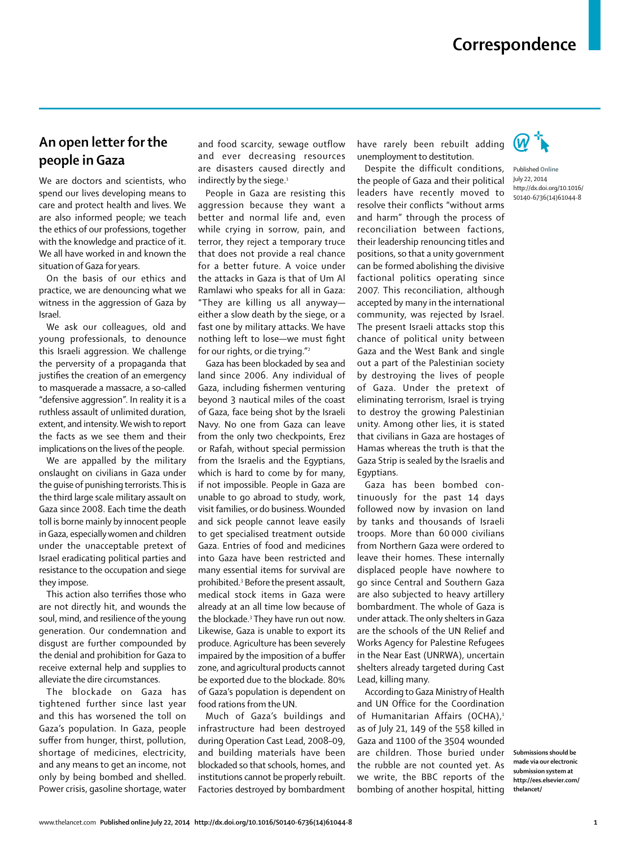## **An open letter for the people in Gaza**

We are doctors and scientists, who spend our lives developing means to care and protect health and lives. We are also informed people; we teach the ethics of our professions, together with the knowledge and practice of it. We all have worked in and known the situation of Gaza for years.

On the basis of our ethics and practice, we are denouncing what we witness in the aggression of Gaza by Israel.

We ask our colleagues, old and young professionals, to denounce this Israeli aggression. We challenge the perversity of a propaganda that justifies the creation of an emergency to masquerade a massacre, a so-called "defensive aggression". In reality it is a ruthless assault of unlimited duration, extent, and intensity. We wish to report the facts as we see them and their implications on the lives of the people.

We are appalled by the military onslaught on civilians in Gaza under the guise of punishing terrorists. This is the third large scale military assault on Gaza since 2008. Each time the death toll is borne mainly by innocent people in Gaza, especially women and children under the unacceptable pretext of Israel eradicating political parties and resistance to the occupation and siege they impose.

This action also terrifies those who are not directly hit, and wounds the soul, mind, and resilience of the young generation. Our condemnation and disgust are further compounded by the denial and prohibition for Gaza to receive external help and supplies to alleviate the dire circumstances.

The blockade on Gaza has tightened further since last year and this has worsened the toll on Gaza's population. In Gaza, people suffer from hunger, thirst, pollution, shortage of medicines, electricity, and any means to get an income, not only by being bombed and shelled. Power crisis, gasoline shortage, water and food scarcity, sewage outflow and ever decreasing resources are disasters caused directly and indirectly by the siege.<sup>1</sup>

People in Gaza are resisting this aggression because they want a better and normal life and, even while crying in sorrow, pain, and terror, they reject a temporary truce that does not provide a real chance for a better future. A voice under the attacks in Gaza is that of Um Al Ramlawi who speaks for all in Gaza: "They are killing us all anyway either a slow death by the siege, or a fast one by military attacks. We have nothing left to lose-we must fight for our rights, or die trying."2

Gaza has been blockaded by sea and land since 2006. Any individual of Gaza, including fishermen venturing beyond 3 nautical miles of the coast of Gaza, face being shot by the Israeli Navy. No one from Gaza can leave from the only two checkpoints, Erez or Rafah, without special permission from the Israelis and the Egyptians, which is hard to come by for many, if not impossible. People in Gaza are unable to go abroad to study, work, visit families, or do business. Wounded and sick people cannot leave easily to get specialised treatment outside Gaza. Entries of food and medicines into Gaza have been restricted and many essential items for survival are prohibited.3 Before the present assault, medical stock items in Gaza were already at an all time low because of the blockade.3 They have run out now. Likewise, Gaza is unable to export its produce. Agriculture has been severely impaired by the imposition of a buffer zone, and agricultural products cannot be exported due to the blockade. 80% of Gaza's population is dependent on food rations from the UN.

Much of Gaza's buildings and infrastructure had been destroyed during Operation Cast Lead, 2008–09, and building materials have been blockaded so that schools, homes, and institutions cannot be properly rebuilt. Factories destroyed by bombardment have rarely been rebuilt adding unemployment to destitution.

Despite the difficult conditions, the people of Gaza and their political leaders have recently moved to resolve their conflicts "without arms and harm" through the process of reconciliation between factions, their leadership renouncing titles and positions, so that a unity government can be formed abolishing the divisive factional politics operating since 2007. This reconciliation, although accepted by many in the international community, was rejected by Israel. The present Israeli attacks stop this chance of political unity between Gaza and the West Bank and single out a part of the Palestinian society by destroying the lives of people of Gaza. Under the pretext of eliminating terrorism, Israel is trying to destroy the growing Palestinian unity. Among other lies, it is stated that civilians in Gaza are hostages of Hamas whereas the truth is that the Gaza Strip is sealed by the Israelis and Egyptians.

Gaza has been bombed continuously for the past 14 days followed now by invasion on land by tanks and thousands of Israeli troops. More than 60 000 civilians from Northern Gaza were ordered to leave their homes. These internally displaced people have nowhere to go since Central and Southern Gaza are also subjected to heavy artillery bombardment. The whole of Gaza is under attack. The only shelters in Gaza are the schools of the UN Relief and Works Agency for Palestine Refugees in the Near East (UNRWA), uncertain shelters already targeted during Cast Lead, killing many.

According to Gaza Ministry of Health and UN Office for the Coordination of Humanitarian Affairs (OCHA),<sup>1</sup> as of July 21, 149 of the 558 killed in Gaza and 1100 of the 3504 wounded are children. Those buried under the rubble are not counted yet. As we write, the BBC reports of the bombing of another hospital, hitting



Published **Online** July 22, 2014 http://dx.doi.org/10.1016/ S0140-6736(14)61044-8

**Submissions should be made via our electronic submission system at http://ees.elsevier.com/ thelancet/**